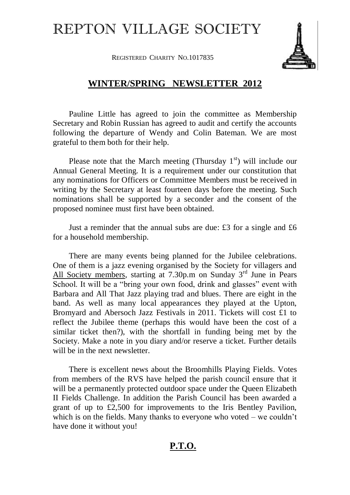## REPTON VILLAGE SOCIETY

REGISTERED CHARITY NO.1017835



## **WINTER/SPRING NEWSLETTER 2012**

Pauline Little has agreed to join the committee as Membership Secretary and Robin Russian has agreed to audit and certify the accounts following the departure of Wendy and Colin Bateman. We are most grateful to them both for their help.

Please note that the March meeting (Thursday  $1<sup>st</sup>$ ) will include our Annual General Meeting. It is a requirement under our constitution that any nominations for Officers or Committee Members must be received in writing by the Secretary at least fourteen days before the meeting. Such nominations shall be supported by a seconder and the consent of the proposed nominee must first have been obtained.

Just a reminder that the annual subs are due: £3 for a single and £6 for a household membership.

There are many events being planned for the Jubilee celebrations. One of them is a jazz evening organised by the Society for villagers and All Society members, starting at 7.30p.m on Sunday 3<sup>rd</sup> June in Pears School. It will be a "bring your own food, drink and glasses" event with Barbara and All That Jazz playing trad and blues. There are eight in the band. As well as many local appearances they played at the Upton, Bromyard and Abersoch Jazz Festivals in 2011. Tickets will cost £1 to reflect the Jubilee theme (perhaps this would have been the cost of a similar ticket then?), with the shortfall in funding being met by the Society. Make a note in you diary and/or reserve a ticket. Further details will be in the next newsletter.

There is excellent news about the Broomhills Playing Fields. Votes from members of the RVS have helped the parish council ensure that it will be a permanently protected outdoor space under the Queen Elizabeth II Fields Challenge. In addition the Parish Council has been awarded a grant of up to £2,500 for improvements to the Iris Bentley Pavilion, which is on the fields. Many thanks to everyone who voted – we couldn't have done it without you!

## **P.T.O.**